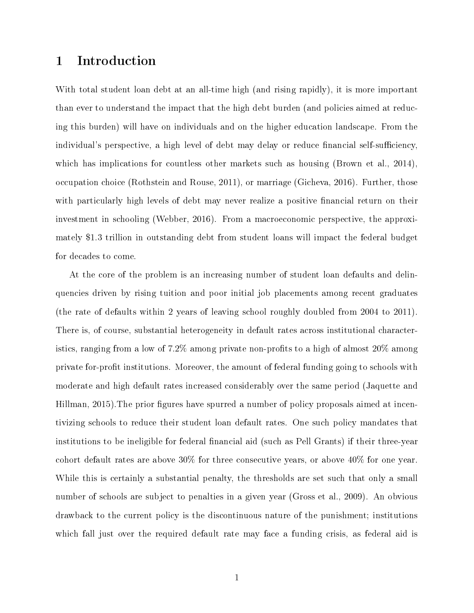### 1 Introduction

With total student loan debt at an all-time high (and rising rapidly), it is more important than ever to understand the impact that the high debt burden (and policies aimed at reducing this burden) will have on individuals and on the higher education landscape. From the individual's perspective, a high level of debt may delay or reduce financial self-sufficiency, which has implications for countless other markets such as housing (Brown et al., 2014), occupation choice (Rothstein and Rouse, 2011), or marriage (Gicheva, 2016). Further, those with particularly high levels of debt may never realize a positive financial return on their investment in schooling (Webber, 2016). From a macroeconomic perspective, the approximately \$1.3 trillion in outstanding debt from student loans will impact the federal budget for decades to come.

At the core of the problem is an increasing number of student loan defaults and delinquencies driven by rising tuition and poor initial job placements among recent graduates (the rate of defaults within 2 years of leaving school roughly doubled from 2004 to 2011). There is, of course, substantial heterogeneity in default rates across institutional characteristics, ranging from a low of  $7.2\%$  among private non-profits to a high of almost  $20\%$  among private for-profit institutions. Moreover, the amount of federal funding going to schools with moderate and high default rates increased considerably over the same period (Jaquette and Hillman, 2015). The prior figures have spurred a number of policy proposals aimed at incentivizing schools to reduce their student loan default rates. One such policy mandates that institutions to be ineligible for federal financial aid (such as Pell Grants) if their three-year cohort default rates are above 30% for three consecutive years, or above 40% for one year. While this is certainly a substantial penalty, the thresholds are set such that only a small number of schools are subject to penalties in a given year (Gross et al., 2009). An obvious drawback to the current policy is the discontinuous nature of the punishment; institutions which fall just over the required default rate may face a funding crisis, as federal aid is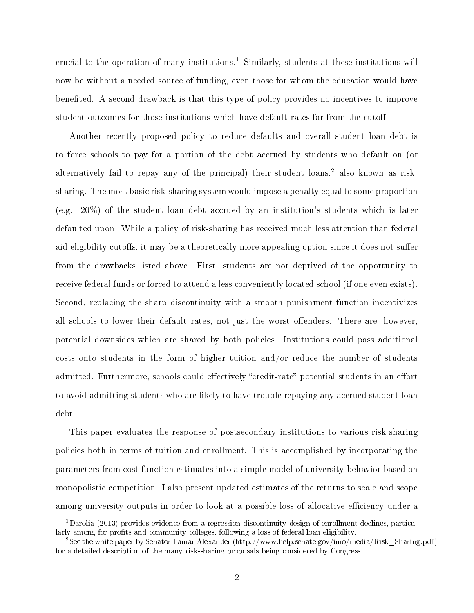crucial to the operation of many institutions.<sup>1</sup> Similarly, students at these institutions will now be without a needed source of funding, even those for whom the education would have benefited. A second drawback is that this type of policy provides no incentives to improve student outcomes for those institutions which have default rates far from the cutoff.

Another recently proposed policy to reduce defaults and overall student loan debt is to force schools to pay for a portion of the debt accrued by students who default on (or alternatively fail to repay any of the principal) their student loans,<sup>2</sup> also known as risksharing. The most basic risk-sharing system would impose a penalty equal to some proportion (e.g. 20%) of the student loan debt accrued by an institution's students which is later defaulted upon. While a policy of risk-sharing has received much less attention than federal aid eligibility cutoffs, it may be a theoretically more appealing option since it does not suffer from the drawbacks listed above. First, students are not deprived of the opportunity to receive federal funds or forced to attend a less conveniently located school (if one even exists). Second, replacing the sharp discontinuity with a smooth punishment function incentivizes all schools to lower their default rates, not just the worst offenders. There are, however, potential downsides which are shared by both policies. Institutions could pass additional costs onto students in the form of higher tuition and/or reduce the number of students admitted. Furthermore, schools could effectively "credit-rate" potential students in an effort to avoid admitting students who are likely to have trouble repaying any accrued student loan debt.

This paper evaluates the response of postsecondary institutions to various risk-sharing policies both in terms of tuition and enrollment. This is accomplished by incorporating the parameters from cost function estimates into a simple model of university behavior based on monopolistic competition. I also present updated estimates of the returns to scale and scope among university outputs in order to look at a possible loss of allocative efficiency under a

<sup>&</sup>lt;sup>1</sup>Darolia (2013) provides evidence from a regression discontinuity design of enrollment declines, particularly among for profits and community colleges, following a loss of federal loan eligibility.

<sup>&</sup>lt;sup>2</sup>See the white paper by Senator Lamar Alexander (http://www.help.senate.gov/imo/media/Risk\_Sharing.pdf) for a detailed description of the many risk-sharing proposals being considered by Congress.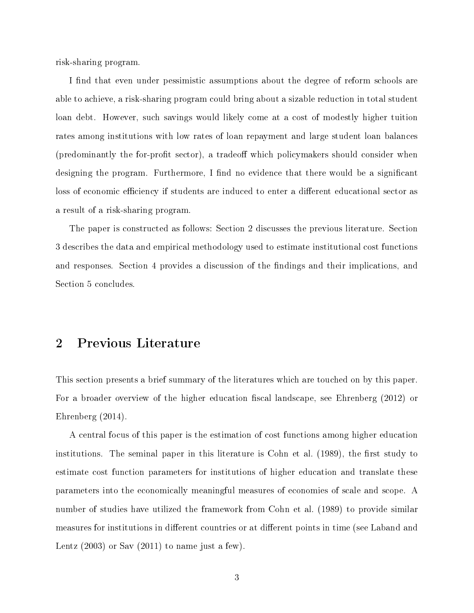risk-sharing program.

I find that even under pessimistic assumptions about the degree of reform schools are able to achieve, a risk-sharing program could bring about a sizable reduction in total student loan debt. However, such savings would likely come at a cost of modestly higher tuition rates among institutions with low rates of loan repayment and large student loan balances (predominantly the for-profit sector), a tradeoff which policymakers should consider when designing the program. Furthermore, I find no evidence that there would be a significant loss of economic efficiency if students are induced to enter a different educational sector as a result of a risk-sharing program.

The paper is constructed as follows: Section 2 discusses the previous literature. Section 3 describes the data and empirical methodology used to estimate institutional cost functions and responses. Section 4 provides a discussion of the findings and their implications, and Section 5 concludes.

### 2 Previous Literature

This section presents a brief summary of the literatures which are touched on by this paper. For a broader overview of the higher education fiscal landscape, see Ehrenberg  $(2012)$  or Ehrenberg (2014).

A central focus of this paper is the estimation of cost functions among higher education institutions. The seminal paper in this literature is Cohn et al. (1989), the first study to estimate cost function parameters for institutions of higher education and translate these parameters into the economically meaningful measures of economies of scale and scope. A number of studies have utilized the framework from Cohn et al. (1989) to provide similar measures for institutions in different countries or at different points in time (see Laband and Lentz  $(2003)$  or Sav  $(2011)$  to name just a few).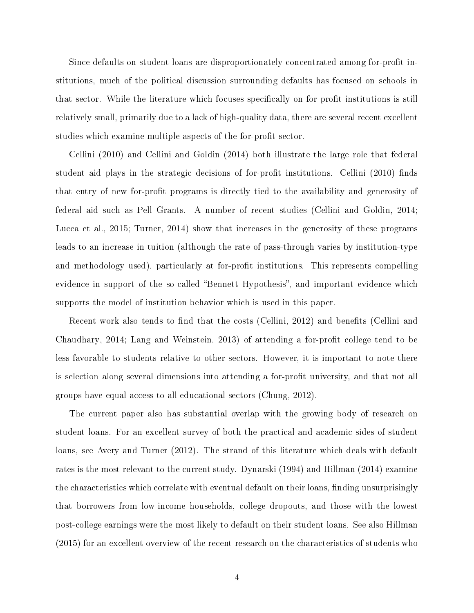Since defaults on student loans are disproportionately concentrated among for-profit institutions, much of the political discussion surrounding defaults has focused on schools in that sector. While the literature which focuses specifically on for-profit institutions is still relatively small, primarily due to a lack of high-quality data, there are several recent excellent studies which examine multiple aspects of the for-profit sector.

Cellini (2010) and Cellini and Goldin (2014) both illustrate the large role that federal student aid plays in the strategic decisions of for-profit institutions. Cellini  $(2010)$  finds that entry of new for-profit programs is directly tied to the availability and generosity of federal aid such as Pell Grants. A number of recent studies (Cellini and Goldin, 2014; Lucca et al., 2015; Turner, 2014) show that increases in the generosity of these programs leads to an increase in tuition (although the rate of pass-through varies by institution-type and methodology used), particularly at for-profit institutions. This represents compelling evidence in support of the so-called "Bennett Hypothesis", and important evidence which supports the model of institution behavior which is used in this paper.

Recent work also tends to find that the costs (Cellini, 2012) and benefits (Cellini and Chaudhary,  $2014$ ; Lang and Weinstein,  $2013$ ) of attending a for-profit college tend to be less favorable to students relative to other sectors. However, it is important to note there is selection along several dimensions into attending a for-profit university, and that not all groups have equal access to all educational sectors (Chung, 2012).

The current paper also has substantial overlap with the growing body of research on student loans. For an excellent survey of both the practical and academic sides of student loans, see Avery and Turner (2012). The strand of this literature which deals with default rates is the most relevant to the current study. Dynarski (1994) and Hillman (2014) examine the characteristics which correlate with eventual default on their loans, finding unsurprisingly that borrowers from low-income households, college dropouts, and those with the lowest post-college earnings were the most likely to default on their student loans. See also Hillman (2015) for an excellent overview of the recent research on the characteristics of students who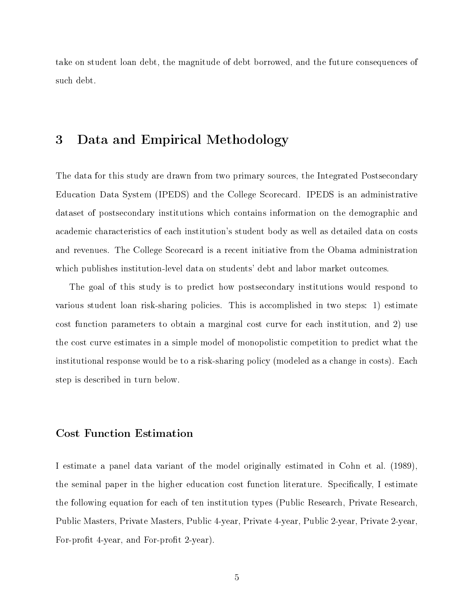take on student loan debt, the magnitude of debt borrowed, and the future consequences of such debt.

### 3 Data and Empirical Methodology

The data for this study are drawn from two primary sources, the Integrated Postsecondary Education Data System (IPEDS) and the College Scorecard. IPEDS is an administrative dataset of postsecondary institutions which contains information on the demographic and academic characteristics of each institution's student body as well as detailed data on costs and revenues. The College Scorecard is a recent initiative from the Obama administration which publishes institution-level data on students' debt and labor market outcomes.

The goal of this study is to predict how postsecondary institutions would respond to various student loan risk-sharing policies. This is accomplished in two steps: 1) estimate cost function parameters to obtain a marginal cost curve for each institution, and 2) use the cost curve estimates in a simple model of monopolistic competition to predict what the institutional response would be to a risk-sharing policy (modeled as a change in costs). Each step is described in turn below.

#### Cost Function Estimation

I estimate a panel data variant of the model originally estimated in Cohn et al. (1989), the seminal paper in the higher education cost function literature. Specifically, I estimate the following equation for each of ten institution types (Public Research, Private Research, Public Masters, Private Masters, Public 4-year, Private 4-year, Public 2-year, Private 2-year, For-profit 4-year, and For-profit 2-year).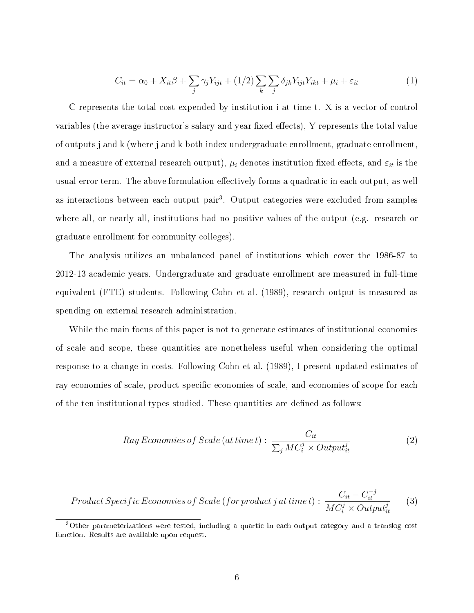$$
C_{it} = \alpha_0 + X_{it}\beta + \sum_j \gamma_j Y_{ijt} + (1/2) \sum_k \sum_j \delta_{jk} Y_{ijt} Y_{ikt} + \mu_i + \varepsilon_{it}
$$
(1)

C represents the total cost expended by institution i at time t. X is a vector of control variables (the average instructor's salary and year fixed effects), Y represents the total value of outputs j and k (where j and k both index undergraduate enrollment, graduate enrollment, and a measure of external research output),  $\mu_i$  denotes institution fixed effects, and  $\varepsilon_{it}$  is the usual error term. The above formulation effectively forms a quadratic in each output, as well as interactions between each output pair<sup>3</sup>. Output categories were excluded from samples where all, or nearly all, institutions had no positive values of the output (e.g. research or graduate enrollment for community colleges).

The analysis utilizes an unbalanced panel of institutions which cover the 1986-87 to 2012-13 academic years. Undergraduate and graduate enrollment are measured in full-time equivalent (FTE) students. Following Cohn et al. (1989), research output is measured as spending on external research administration.

While the main focus of this paper is not to generate estimates of institutional economies of scale and scope, these quantities are nonetheless useful when considering the optimal response to a change in costs. Following Cohn et al. (1989), I present updated estimates of ray economies of scale, product specific economies of scale, and economies of scope for each of the ten institutional types studied. These quantities are dened as follows:

Ray Economics of Scale (at time t) : 
$$
\frac{C_{it}}{\sum_{j} MC_{i}^{j} \times Output_{it}^{j}}
$$
 (2)

$$
Product Specific Economics of Scale (for product j at time t): \frac{C_{it} - C_{it}^{-j}}{MC_{i}^{j} \times Output_{it}^{j}}
$$
(3)

<sup>3</sup>Other parameterizations were tested, including a quartic in each output category and a translog cost function. Results are available upon request.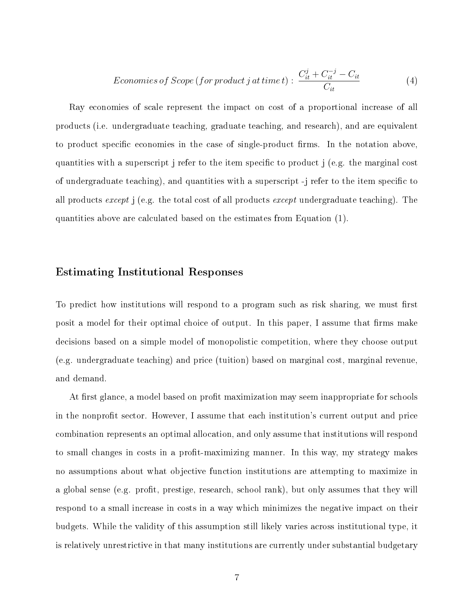$$
Economics of Score (for product j at time t): \frac{C_{it}^{j} + C_{it}^{-j} - C_{it}}{C_{it}} \tag{4}
$$

Ray economies of scale represent the impact on cost of a proportional increase of all products (i.e. undergraduate teaching, graduate teaching, and research), and are equivalent to product specific economies in the case of single-product firms. In the notation above, quantities with a superscript j refer to the item specific to product j (e.g. the marginal cost of undergraduate teaching), and quantities with a superscript -j refer to the item specific to all products except j (e.g. the total cost of all products except undergraduate teaching). The quantities above are calculated based on the estimates from Equation (1).

#### Estimating Institutional Responses

To predict how institutions will respond to a program such as risk sharing, we must first posit a model for their optimal choice of output. In this paper, I assume that firms make decisions based on a simple model of monopolistic competition, where they choose output (e.g. undergraduate teaching) and price (tuition) based on marginal cost, marginal revenue, and demand.

At first glance, a model based on profit maximization may seem inappropriate for schools in the nonprofit sector. However, I assume that each institution's current output and price combination represents an optimal allocation, and only assume that institutions will respond to small changes in costs in a profit-maximizing manner. In this way, my strategy makes no assumptions about what objective function institutions are attempting to maximize in a global sense (e.g. profit, prestige, research, school rank), but only assumes that they will respond to a small increase in costs in a way which minimizes the negative impact on their budgets. While the validity of this assumption still likely varies across institutional type, it is relatively unrestrictive in that many institutions are currently under substantial budgetary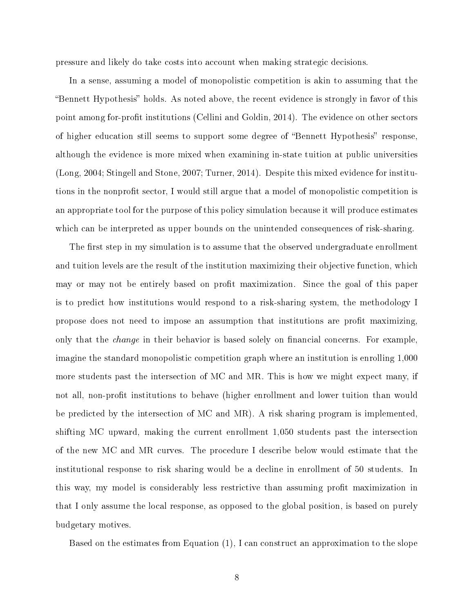pressure and likely do take costs into account when making strategic decisions.

In a sense, assuming a model of monopolistic competition is akin to assuming that the "Bennett Hypothesis" holds. As noted above, the recent evidence is strongly in favor of this point among for-profit institutions (Cellini and Goldin, 2014). The evidence on other sectors of higher education still seems to support some degree of "Bennett Hypothesis" response, although the evidence is more mixed when examining in-state tuition at public universities (Long, 2004; Stingell and Stone, 2007; Turner, 2014). Despite this mixed evidence for institutions in the nonprofit sector, I would still argue that a model of monopolistic competition is an appropriate tool for the purpose of this policy simulation because it will produce estimates which can be interpreted as upper bounds on the unintended consequences of risk-sharing.

The first step in my simulation is to assume that the observed undergraduate enrollment and tuition levels are the result of the institution maximizing their objective function, which may or may not be entirely based on profit maximization. Since the goal of this paper is to predict how institutions would respond to a risk-sharing system, the methodology I propose does not need to impose an assumption that institutions are profit maximizing. only that the *change* in their behavior is based solely on financial concerns. For example, imagine the standard monopolistic competition graph where an institution is enrolling 1,000 more students past the intersection of MC and MR. This is how we might expect many, if not all, non-profit institutions to behave (higher enrollment and lower tuition than would be predicted by the intersection of MC and MR). A risk sharing program is implemented, shifting MC upward, making the current enrollment 1,050 students past the intersection of the new MC and MR curves. The procedure I describe below would estimate that the institutional response to risk sharing would be a decline in enrollment of 50 students. In this way, my model is considerably less restrictive than assuming profit maximization in that I only assume the local response, as opposed to the global position, is based on purely budgetary motives.

Based on the estimates from Equation (1), I can construct an approximation to the slope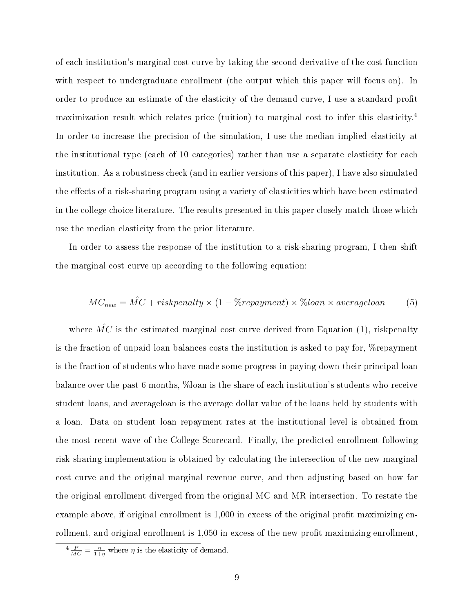of each institution's marginal cost curve by taking the second derivative of the cost function with respect to undergraduate enrollment (the output which this paper will focus on). In order to produce an estimate of the elasticity of the demand curve, I use a standard profit maximization result which relates price (tuition) to marginal cost to infer this elasticity.<sup>4</sup> In order to increase the precision of the simulation, I use the median implied elasticity at the institutional type (each of 10 categories) rather than use a separate elasticity for each institution. As a robustness check (and in earlier versions of this paper), I have also simulated the effects of a risk-sharing program using a variety of elasticities which have been estimated in the college choice literature. The results presented in this paper closely match those which use the median elasticity from the prior literature.

In order to assess the response of the institution to a risk-sharing program, I then shift the marginal cost curve up according to the following equation:

$$
MC_{new} = \hat{MC} + riskpenalty \times (1 - %repayment) \times % loan \times average loan \tag{5}
$$

where  $\hat{MC}$  is the estimated marginal cost curve derived from Equation (1), riskpenalty is the fraction of unpaid loan balances costs the institution is asked to pay for, %repayment is the fraction of students who have made some progress in paying down their principal loan balance over the past 6 months, %loan is the share of each institution's students who receive student loans, and averageloan is the average dollar value of the loans held by students with a loan. Data on student loan repayment rates at the institutional level is obtained from the most recent wave of the College Scorecard. Finally, the predicted enrollment following risk sharing implementation is obtained by calculating the intersection of the new marginal cost curve and the original marginal revenue curve, and then adjusting based on how far the original enrollment diverged from the original MC and MR intersection. To restate the example above, if original enrollment is 1,000 in excess of the original profit maximizing enrollment, and original enrollment is  $1,050$  in excess of the new profit maximizing enrollment,

 $\frac{4}{MC} = \frac{\eta}{1+\eta}$  where  $\eta$  is the elasticity of demand.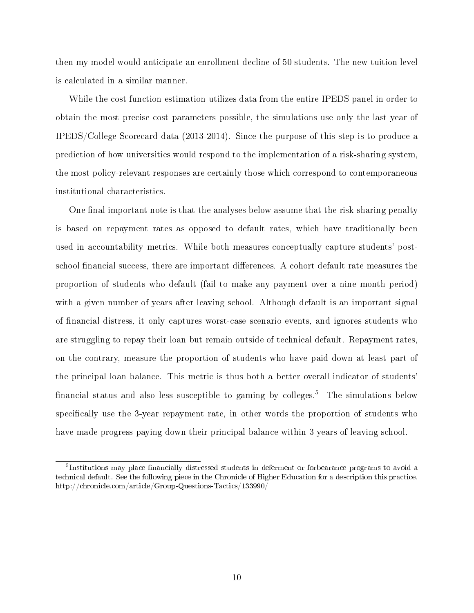then my model would anticipate an enrollment decline of 50 students. The new tuition level is calculated in a similar manner.

While the cost function estimation utilizes data from the entire IPEDS panel in order to obtain the most precise cost parameters possible, the simulations use only the last year of IPEDS/College Scorecard data (2013-2014). Since the purpose of this step is to produce a prediction of how universities would respond to the implementation of a risk-sharing system, the most policy-relevant responses are certainly those which correspond to contemporaneous institutional characteristics.

One final important note is that the analyses below assume that the risk-sharing penalty is based on repayment rates as opposed to default rates, which have traditionally been used in accountability metrics. While both measures conceptually capture students' postschool financial success, there are important differences. A cohort default rate measures the proportion of students who default (fail to make any payment over a nine month period) with a given number of years after leaving school. Although default is an important signal of nancial distress, it only captures worst-case scenario events, and ignores students who are struggling to repay their loan but remain outside of technical default. Repayment rates, on the contrary, measure the proportion of students who have paid down at least part of the principal loan balance. This metric is thus both a better overall indicator of students' financial status and also less susceptible to gaming by colleges.<sup>5</sup> The simulations below specifically use the 3-year repayment rate, in other words the proportion of students who have made progress paying down their principal balance within 3 years of leaving school.

 $5$ Institutions may place financially distressed students in deferment or forbearance programs to avoid a technical default. See the following piece in the Chronicle of Higher Education for a description this practice. http://chronicle.com/article/Group-Questions-Tactics/133990/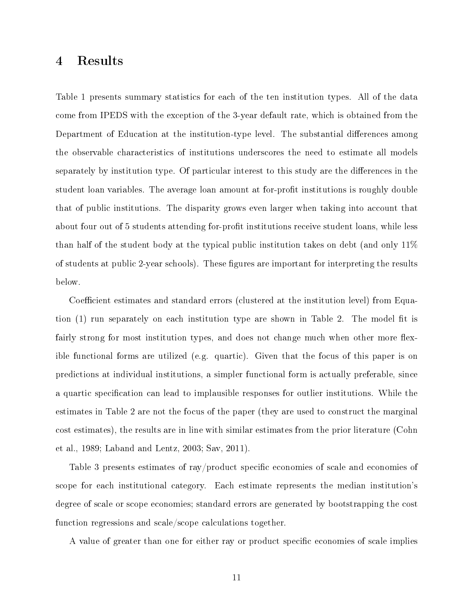### 4 Results

Table 1 presents summary statistics for each of the ten institution types. All of the data come from IPEDS with the exception of the 3-year default rate, which is obtained from the Department of Education at the institution-type level. The substantial differences among the observable characteristics of institutions underscores the need to estimate all models separately by institution type. Of particular interest to this study are the differences in the student loan variables. The average loan amount at for-profit institutions is roughly double that of public institutions. The disparity grows even larger when taking into account that about four out of 5 students attending for-profit institutions receive student loans, while less than half of the student body at the typical public institution takes on debt (and only 11% of students at public 2-year schools). These figures are important for interpreting the results below.

Coefficient estimates and standard errors (clustered at the institution level) from Equation  $(1)$  run separately on each institution type are shown in Table 2. The model fit is fairly strong for most institution types, and does not change much when other more flexible functional forms are utilized (e.g. quartic). Given that the focus of this paper is on predictions at individual institutions, a simpler functional form is actually preferable, since a quartic specification can lead to implausible responses for outlier institutions. While the estimates in Table 2 are not the focus of the paper (they are used to construct the marginal cost estimates), the results are in line with similar estimates from the prior literature (Cohn et al., 1989; Laband and Lentz, 2003; Sav, 2011).

Table 3 presents estimates of ray/product specific economies of scale and economies of scope for each institutional category. Each estimate represents the median institution's degree of scale or scope economies; standard errors are generated by bootstrapping the cost function regressions and scale/scope calculations together.

A value of greater than one for either ray or product specific economies of scale implies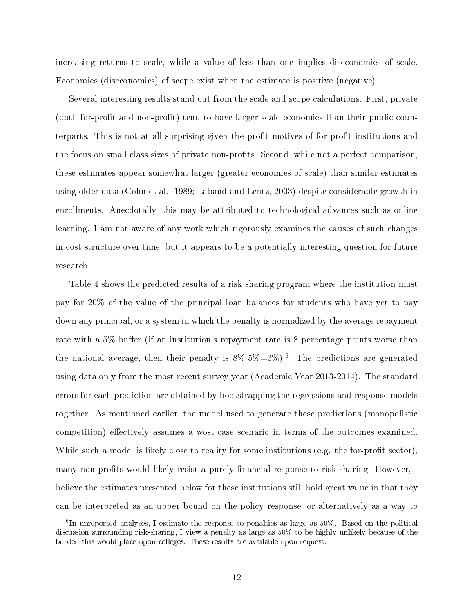increasing returns to scale, while a value of less than one implies diseconomies of scale. Economies (diseconomies) of scope exist when the estimate is positive (negative).

Several interesting results stand out from the scale and scope calculations. First, private (both for-profit and non-profit) tend to have larger scale economies than their public counterparts. This is not at all surprising given the profit motives of for-profit institutions and the focus on small class sizes of private non-profits. Second, while not a perfect comparison. these estimates appear somewhat larger (greater economies of scale) than similar estimates using older data (Cohn et al., 1989; Laband and Lentz, 2003) despite considerable growth in enrollments. Anecdotally, this may be attributed to technological advances such as online learning. I am not aware of any work which rigorously examines the causes of such changes in cost structure over time, but it appears to be a potentially interesting question for future research.

Table 4 shows the predicted results of a risk-sharing program where the institution must pay for 20% of the value of the principal loan balances for students who have yet to pay down any principal, or a system in which the penalty is normalized by the average repayment rate with a 5% buffer (if an institution's repayment rate is 8 percentage points worse than the national average, then their penalty is  $8\% - 5\% = 3\%$ ).<sup>6</sup> The predictions are generated using data only from the most recent survey year (Academic Year 2013-2014). The standard errors for each prediction are obtained by bootstrapping the regressions and response models together. As mentioned earlier, the model used to generate these predictions (monopolistic competition) effectively assumes a wost-case scenario in terms of the outcomes examined. While such a model is likely close to reality for some institutions (e.g. the for-profit sector), many non-profits would likely resist a purely financial response to risk-sharing. However, I believe the estimates presented below for these institutions still hold great value in that they can be interpreted as an upper bound on the policy response, or alternatively as a way to

 ${}^{6}$ In unreported analyses, I estimate the response to penalties as large as 50%. Based on the political discussion surrounding risk-sharing, I view a penalty as large as 50% to be highly unlikely because of the burden this would place upon colleges. These results are available upon request.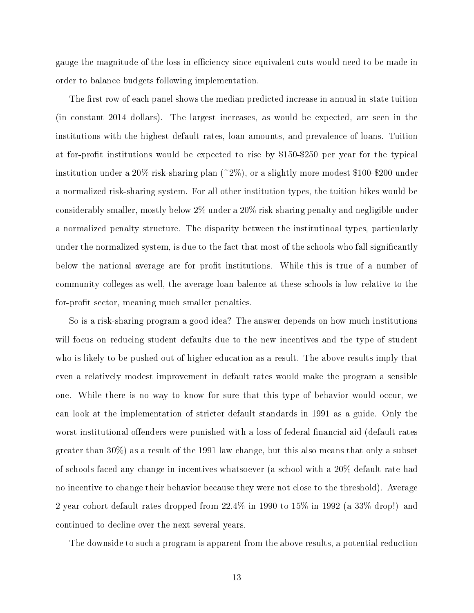gauge the magnitude of the loss in efficiency since equivalent cuts would need to be made in order to balance budgets following implementation.

The first row of each panel shows the median predicted increase in annual in-state tuition (in constant 2014 dollars). The largest increases, as would be expected, are seen in the institutions with the highest default rates, loan amounts, and prevalence of loans. Tuition at for-profit institutions would be expected to rise by \$150-\$250 per year for the typical institution under a 20% risk-sharing plan  $(2\%)$ , or a slightly more modest \$100-\$200 under a normalized risk-sharing system. For all other institution types, the tuition hikes would be considerably smaller, mostly below 2% under a 20% risk-sharing penalty and negligible under a normalized penalty structure. The disparity between the institutinoal types, particularly under the normalized system, is due to the fact that most of the schools who fall signicantly below the national average are for profit institutions. While this is true of a number of community colleges as well, the average loan balence at these schools is low relative to the for-profit sector, meaning much smaller penalties.

So is a risk-sharing program a good idea? The answer depends on how much institutions will focus on reducing student defaults due to the new incentives and the type of student who is likely to be pushed out of higher education as a result. The above results imply that even a relatively modest improvement in default rates would make the program a sensible one. While there is no way to know for sure that this type of behavior would occur, we can look at the implementation of stricter default standards in 1991 as a guide. Only the worst institutional offenders were punished with a loss of federal financial aid (default rates greater than  $30\%$  as a result of the 1991 law change, but this also means that only a subset of schools faced any change in incentives whatsoever (a school with a 20% default rate had no incentive to change their behavior because they were not close to the threshold). Average 2-year cohort default rates dropped from 22.4% in 1990 to 15% in 1992 (a 33% drop!) and continued to decline over the next several years.

The downside to such a program is apparent from the above results, a potential reduction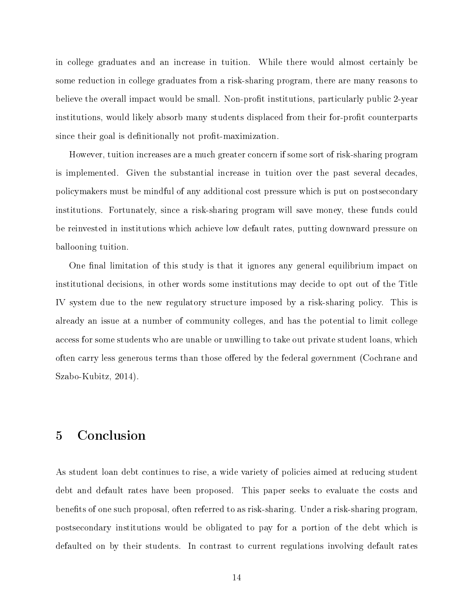in college graduates and an increase in tuition. While there would almost certainly be some reduction in college graduates from a risk-sharing program, there are many reasons to believe the overall impact would be small. Non-profit institutions, particularly public 2-year institutions, would likely absorb many students displaced from their for-profit counterparts since their goal is definitionally not profit-maximization.

However, tuition increases are a much greater concern if some sort of risk-sharing program is implemented. Given the substantial increase in tuition over the past several decades, policymakers must be mindful of any additional cost pressure which is put on postsecondary institutions. Fortunately, since a risk-sharing program will save money, these funds could be reinvested in institutions which achieve low default rates, putting downward pressure on ballooning tuition.

One final limitation of this study is that it ignores any general equilibrium impact on institutional decisions, in other words some institutions may decide to opt out of the Title IV system due to the new regulatory structure imposed by a risk-sharing policy. This is already an issue at a number of community colleges, and has the potential to limit college access for some students who are unable or unwilling to take out private student loans, which often carry less generous terms than those offered by the federal government (Cochrane and Szabo-Kubitz, 2014).

# 5 Conclusion

As student loan debt continues to rise, a wide variety of policies aimed at reducing student debt and default rates have been proposed. This paper seeks to evaluate the costs and benefits of one such proposal, often referred to as risk-sharing. Under a risk-sharing program, postsecondary institutions would be obligated to pay for a portion of the debt which is defaulted on by their students. In contrast to current regulations involving default rates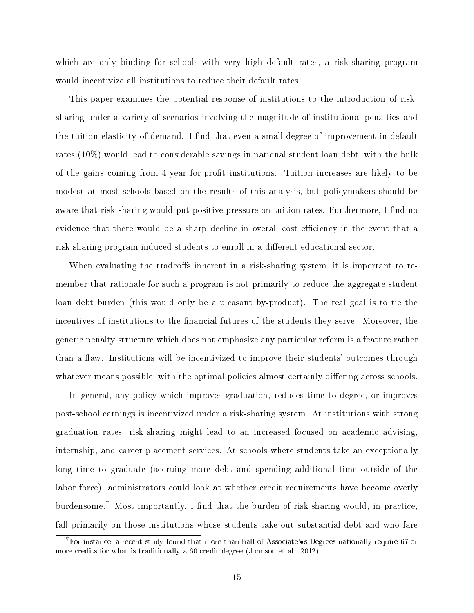which are only binding for schools with very high default rates, a risk-sharing program would incentivize all institutions to reduce their default rates.

This paper examines the potential response of institutions to the introduction of risksharing under a variety of scenarios involving the magnitude of institutional penalties and the tuition elasticity of demand. I find that even a small degree of improvement in default rates (10%) would lead to considerable savings in national student loan debt, with the bulk of the gains coming from 4-year for-profit institutions. Tuition increases are likely to be modest at most schools based on the results of this analysis, but policymakers should be aware that risk-sharing would put positive pressure on tuition rates. Furthermore, I find no evidence that there would be a sharp decline in overall cost efficiency in the event that a risk-sharing program induced students to enroll in a different educational sector.

When evaluating the tradeoffs inherent in a risk-sharing system, it is important to remember that rationale for such a program is not primarily to reduce the aggregate student loan debt burden (this would only be a pleasant by-product). The real goal is to tie the incentives of institutions to the financial futures of the students they serve. Moreover, the generic penalty structure which does not emphasize any particular reform is a feature rather than a flaw. Institutions will be incentivized to improve their students' outcomes through whatever means possible, with the optimal policies almost certainly differing across schools.

In general, any policy which improves graduation, reduces time to degree, or improves post-school earnings is incentivized under a risk-sharing system. At institutions with strong graduation rates, risk-sharing might lead to an increased focused on academic advising, internship, and career placement services. At schools where students take an exceptionally long time to graduate (accruing more debt and spending additional time outside of the labor force), administrators could look at whether credit requirements have become overly burdensome.<sup>7</sup> Most importantly, I find that the burden of risk-sharing would, in practice, fall primarily on those institutions whose students take out substantial debt and who fare

<sup>&</sup>lt;sup>7</sup>For instance, a recent study found that more than half of Associate'. Degrees nationally require 67 or more credits for what is traditionally a 60 credit degree (Johnson et al., 2012).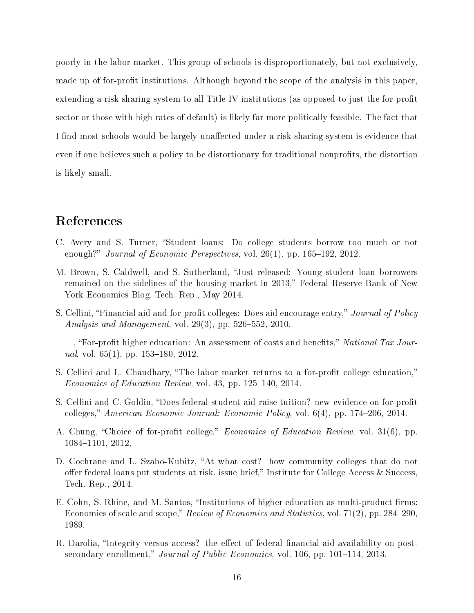poorly in the labor market. This group of schools is disproportionately, but not exclusively, made up of for-profit institutions. Although beyond the scope of the analysis in this paper, extending a risk-sharing system to all Title IV institutions (as opposed to just the for-profit sector or those with high rates of default) is likely far more politically feasible. The fact that I find most schools would be largely unaffected under a risk-sharing system is evidence that even if one believes such a policy to be distortionary for traditional nonprofits, the distortion is likely small.

## References

- C. Avery and S. Turner, "Student loans: Do college students borrow too much-or not enough?" Journal of Economic Perspectives, vol.  $26(1)$ , pp.  $165-192$ ,  $2012$ .
- M. Brown, S. Caldwell, and S. Sutherland, "Just released: Young student loan borrowers remained on the sidelines of the housing market in 2013," Federal Reserve Bank of New York Economics Blog, Tech. Rep., May 2014.
- S. Cellini, "Financial aid and for-profit colleges: Does aid encourage entry," Journal of Policy Analysis and Management, vol.  $29(3)$ , pp.  $526-552$ ,  $2010$ .
- -, "For-profit higher education: An assessment of costs and benefits," National Tax Journal, vol.  $65(1)$ , pp.  $153-180$ ,  $2012$ .
- S. Cellini and L. Chaudhary, "The labor market returns to a for-profit college education," Economics of Education Review, vol. 43, pp.  $125-140$ ,  $2014$ .
- S. Cellini and C. Goldin, "Does federal student aid raise tuition? new evidence on for-profit colleges," American Economic Journal: Economic Policy, vol.  $6(4)$ , pp. 174–206, 2014.
- A. Chung, "Choice of for-profit college," *Economics of Education Review*, vol. 31(6), pp. 1084-1101, 2012.
- D. Cochrane and L. Szabo-Kubitz, "At what cost? how community colleges that do not offer federal loans put students at risk. issue brief," Institute for College Access  $\&$  Success, Tech. Rep., 2014.
- E. Cohn, S. Rhine, and M. Santos, "Institutions of higher education as multi-product firms: Economies of scale and scope," Review of Economics and Statistics, vol. 71(2), pp. 284–290, 1989.
- R. Darolia, "Integrity versus access? the effect of federal financial aid availability on postsecondary enrollment," *Journal of Public Economics*, vol. 106, pp. 101–114, 2013.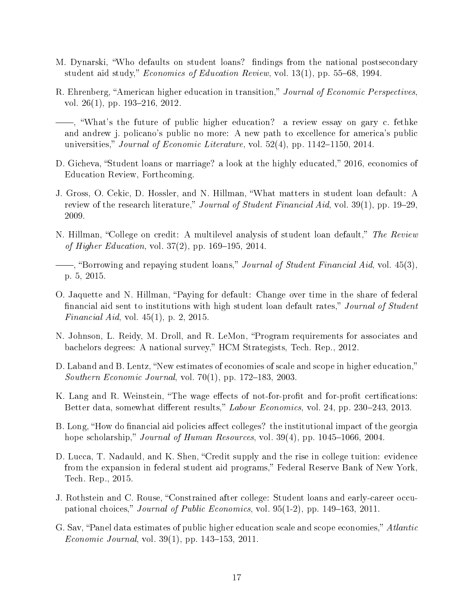- M. Dynarski, "Who defaults on student loans? findings from the national postsecondary student aid study," *Economics of Education Review*, vol.  $13(1)$ , pp.  $55-68$ , 1994.
- R. Ehrenberg, "American higher education in transition," Journal of Economic Perspectives, vol. 26 $(1)$ , pp. 193–216, 2012.
	- , What's the future of public higher education? a review essay on gary c. fethke and andrew j. policano's public no more: A new path to excellence for america's public universities," Journal of Economic Literature, vol.  $52(4)$ , pp.  $1142-1150$ , 2014.
- D. Gicheva, "Student loans or marriage? a look at the highly educated," 2016, economics of Education Review, Forthcoming.
- J. Gross, O. Cekic, D. Hossler, and N. Hillman, What matters in student loan default: A review of the research literature," Journal of Student Financial Aid, vol. 39(1), pp. 19–29, 2009.
- N. Hillman, "College on credit: A multilevel analysis of student loan default," The Review of Higher Education, vol.  $37(2)$ , pp.  $169-195$ ,  $2014$ .
- , "Borrowing and repaying student loans," *Journal of Student Financial Aid*, vol. 45(3), p. 5, 2015.
- O. Jaquette and N. Hillman, Paying for default: Change over time in the share of federal financial aid sent to institutions with high student loan default rates," Journal of Student Financial Aid, vol. 45(1), p. 2, 2015.
- N. Johnson, L. Reidy, M. Droll, and R. LeMon, "Program requirements for associates and bachelors degrees: A national survey," HCM Strategists, Tech. Rep., 2012.
- D. Laband and B. Lentz, "New estimates of economies of scale and scope in higher education," *Southern Economic Journal*, vol.  $70(1)$ , pp.  $172-183$ ,  $2003$ .
- K. Lang and R. Weinstein, "The wage effects of not-for-profit and for-profit certifications: Better data, somewhat different results," Labour Economics, vol. 24, pp. 230–243, 2013.
- B. Long, "How do financial aid policies affect colleges? the institutional impact of the georgia hope scholarship," Journal of Human Resources, vol.  $39(4)$ , pp.  $1045-1066$ ,  $2004$ .
- D. Lucca, T. Nadauld, and K. Shen, "Credit supply and the rise in college tuition: evidence from the expansion in federal student aid programs," Federal Reserve Bank of New York, Tech. Rep., 2015.
- J. Rothstein and C. Rouse, "Constrained after college: Student loans and early-career occupational choices," *Journal of Public Economics*, vol.  $95(1-2)$ , pp.  $149-163$ ,  $2011$ .
- G. Sav, "Panel data estimates of public higher education scale and scope economies," Atlantic *Economic Journal*, vol.  $39(1)$ , pp.  $143-153$ ,  $2011$ .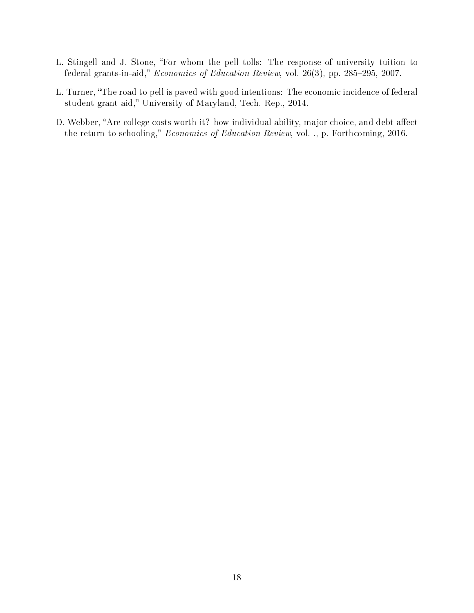- L. Stingell and J. Stone, "For whom the pell tolls: The response of university tuition to federal grants-in-aid,"  $Economics$  of  $Education$   $Review$ , vol.  $26(3)$ , pp.  $285-295$ ,  $2007$ .
- L. Turner, "The road to pell is paved with good intentions: The economic incidence of federal student grant aid," University of Maryland, Tech. Rep., 2014.
- D. Webber, "Are college costs worth it? how individual ability, major choice, and debt affect the return to schooling," Economics of Education Review, vol., p. Forthcoming, 2016.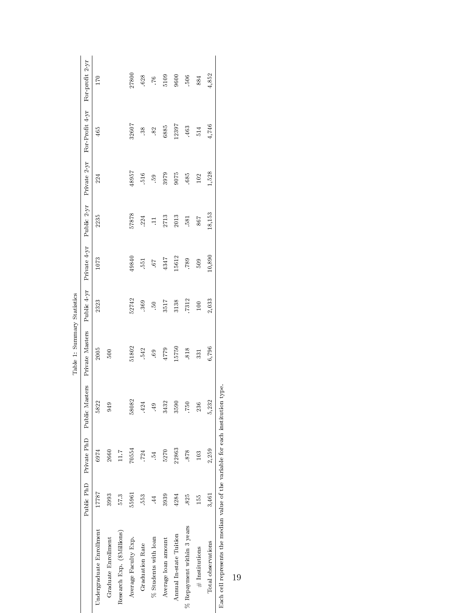|                                                                                  |            |             |                | Table 1: Summary Statistics |             |              |             |              |                 |                            |
|----------------------------------------------------------------------------------|------------|-------------|----------------|-----------------------------|-------------|--------------|-------------|--------------|-----------------|----------------------------|
|                                                                                  | Public PhD | Private PhD | Public Masters | Private Masters             | Public 4 yr | Private 4 yr | Public 2 yr | Private 2 yr | For Profit 4 yr | For profit $2~\mathrm{yr}$ |
| Undergraduate Enrollment                                                         | 17787      | 6974        | 5822           | 2005                        | 2323        | 1073         | 2235        | 224          | 465             | 170                        |
| Graduate Enrollment                                                              | 3993       | 2660        | 949            | 500                         |             |              |             |              |                 |                            |
| Research Exp. (\$Millions)                                                       | 57.3       | 117         |                |                             |             |              |             |              |                 |                            |
| Average Faculty Exp.                                                             | 55961      | 70554       | 58082          | 51802                       | 52742       | 49840        | 57878       | 48957        | 32607           | 27800                      |
| Graduation Rate                                                                  | 553        | 724         | .424           | 542                         | 369         | 551          | 224         | 516          | 38              | 628                        |
| % Students with loan                                                             | $\ddot{4}$ | 54          | $\ddot{ }$     | 69.                         | Ş.          | 57           | 급           | 59.          | 82              | .76                        |
| Average loan amount                                                              | 3939       | 5270        | 3432           | 4779                        | 3517        | 4347         | 2713        | 3979         | 6885            | 5109                       |
| Annual In-state Tuition                                                          | 4284       | 22863       | 3590           | 15750                       | 3138        | 5612         | 2013        | 9075         | 12397           | 9600                       |
| % Repayment within 3 years                                                       | .825       | 878         | .750           | 818                         | 7312        | 789          | 581         | .685         | 463             | 506                        |
| $#$ Institutions                                                                 | 155        | 103         | 236            | 331                         | 100         | 509          | 867         | 102          | 514             | 884                        |
| Total observations                                                               | 3,461      | 2,259       | N<br>5,23      | 6,796                       | 2,033       | 0,890        | 18,153      | 1,528        | 4,746           | 4,852                      |
| Each cell represents the median value of the variable for each institution type. |            |             |                |                             |             |              |             |              |                 |                            |
| 19                                                                               |            |             |                |                             |             |              |             |              |                 |                            |
|                                                                                  |            |             |                |                             |             |              |             |              |                 |                            |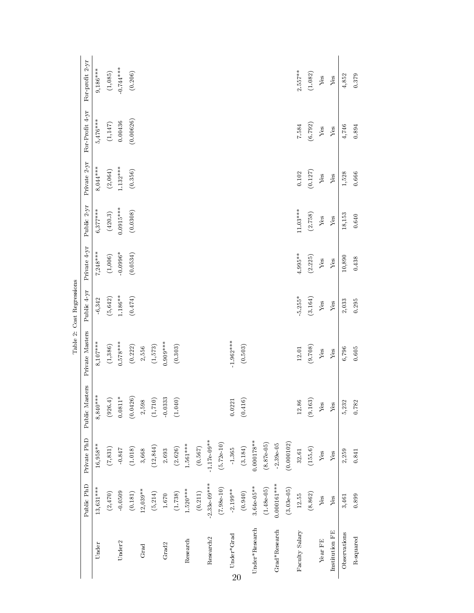|                                                    |                             |                               |                |                 | Table 2: Cost Regressions |              |                           |              |                 |                 |
|----------------------------------------------------|-----------------------------|-------------------------------|----------------|-----------------|---------------------------|--------------|---------------------------|--------------|-----------------|-----------------|
|                                                    | Public PhD                  | Private PhD                   | Public Masters | Private Masters | Public 4 yr               | Private 4 yr | Public 2 yr               | Private 2 yr | For Profit 4 yr | For profit 2 yr |
| Under                                              | $13,631***$                 | $16,958***$                   | $8,840***$     | $8,107***$      | 6,342                     | $7,248***$   | $6,377***$                | 8,044 ***    | $5,476***$      | $9,186***$      |
|                                                    | (2,470)                     | (7, 831)                      | (926.4)        | (1,386)         | (5, 642)                  | (1,006)      | (420.3)                   | (2,064)      | (1, 147)        | (1,085)         |
| Under <sub>2</sub>                                 | $-0.0509$                   | $0.847\,$                     | $0.0811*$      | $0.578***$      | $1.186***$                | $-0.0996*$   | $0.0915***$               | $1.132***$   | 0.00436         | $0.744***$      |
|                                                    | (0.181)                     | (1.018)                       | (0.0426)       | (0.222)         | (0.474)                   | (0.0534)     | (0.0308)                  | (0.356)      | (0.00626)       | (0.206)         |
| Grad                                               | $12,039***$                 | 3,668                         | 2,598          | $2,\!556$       |                           |              |                           |              |                 |                 |
|                                                    | (5, 214)                    | (12, 844)                     | (1,710)        | (1,573)         |                           |              |                           |              |                 |                 |
| Grad <sub>2</sub>                                  | $1.670\,$                   | 2.693                         | $-0.0333$      | $0.909***$      |                           |              |                           |              |                 |                 |
|                                                    | (1.738)                     | (2.626)                       | $(1.040)$      | (0.303)         |                           |              |                           |              |                 |                 |
| Research                                           | $1.520***$                  | $1.561***$                    |                |                 |                           |              |                           |              |                 |                 |
|                                                    | (0.211)                     | (0.567)                       |                |                 |                           |              |                           |              |                 |                 |
| Research <sub>2</sub>                              | $2.33e-09***$               | $-1.17e-09**$                 |                |                 |                           |              |                           |              |                 |                 |
|                                                    | (7.98e.10)                  | (5.72e.10)                    |                |                 |                           |              |                           |              |                 |                 |
| $\mathrm{Under}^*\mathrm{Grad}$<br>$\overline{20}$ | $-2.199***$                 | $-1.365$                      | $0.0221\,$     | $-1.962***$     |                           |              |                           |              |                 |                 |
|                                                    | (0.940)                     | (3.184)                       | (0.416)        | (0.503)         |                           |              |                           |              |                 |                 |
| Under*Research                                     | $3.64e-05***$               | $0.000178***$                 |                |                 |                           |              |                           |              |                 |                 |
|                                                    | $(1.48e-05)$                | $(8.87e-05)$                  |                |                 |                           |              |                           |              |                 |                 |
| Grad*Research                                      | $0.000161***$               | $2.39e-05$                    |                |                 |                           |              |                           |              |                 |                 |
|                                                    | $(3.03e-05)$                | (0.000102)                    |                |                 |                           |              |                           |              |                 |                 |
| Faculty Salary                                     | 12.55                       | $32.61\,$                     | 12.86          | $12.01\,$       | $5.255*$                  | $4.995***$   | 11.03***                  | $0.102\,$    | 7.584           | $2.557***$      |
|                                                    | (8.862)                     | (155.6)                       | (9.163)        | (9.708)         | (3.164)                   | (2.225)      | (2.758)                   | (0.127)      | (6.792)         | (1.082)         |
| Year FE                                            | $\ensuremath{\mathrm{Yes}}$ | $\operatorname{\mathsf{Yes}}$ | ${\rm Yes}$    | ${\rm Yes}$     | ${\rm Yes}$               | ${\rm Yes}$  | $\operatorname{Yes}$      | ${\rm Yes}$  | ${\rm Yes}$     | ${\rm Yes}$     |
| Institution FE                                     | ${\rm Yes}$                 | ${\rm Yes}$                   | ${\rm Yes}$    | ${\rm Yes}$     | ${\rm Yes}$               | ${\rm Yes}$  | $\ensuremath{\text{Yes}}$ | ${\rm Yes}$  | ${\rm Yes}$     | ${\rm Yes}$     |
| Observations                                       | 3,461                       | 2,259                         | 5,232          | 6,796           | 2,033                     | $10,\!890$   | 18,153                    | 1,528        | 4,746           | 4,852           |
| R squared                                          | 0.899                       | 0.841                         | 0.782          | 0.605           | 0.295                     | 0.438        | 0.640                     | 0.666        | 0.894           | 0.379           |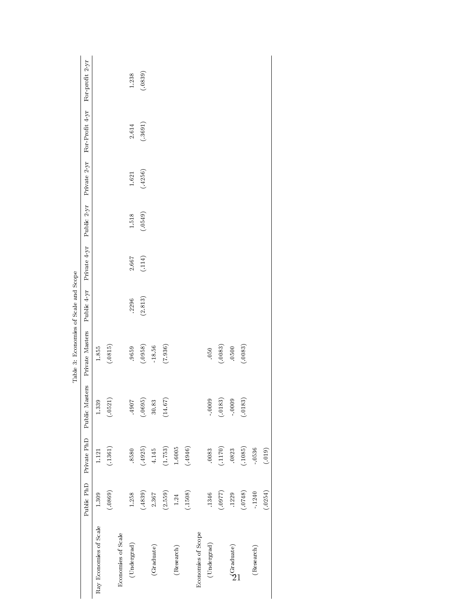|                                 | Public PhD | Private PhD | Public Masters | Private Masters | Public 4 yr | Private 4 yr | Public 2 yr | Private 2 yr | For Profit 4 yr | For profit $2\,$ yr |
|---------------------------------|------------|-------------|----------------|-----------------|-------------|--------------|-------------|--------------|-----------------|---------------------|
| Ray Economies of Scale          | $1.309\,$  | 1.121       | 1.339          | $1.855\,$       |             |              |             |              |                 |                     |
|                                 | (.0869)    | (.1361)     | (.0521)        | (.0815)         |             |              |             |              |                 |                     |
| Economies of Scale              |            |             |                |                 |             |              |             |              |                 |                     |
| (Undergrad)                     | $1.258\,$  | .8580       | $4907$         | .9659           | .2296       | 2.667        | $1.518\,$   | $1.621\,$    | $2.6\,14$       | 1.238               |
|                                 | (.4839)    | (.4925)     | (.0695)        | (.0958)         | (2.813)     | (114)        | (.0549)     | (.4256)      | (.3691)         | (.0839)             |
| (Graduate)                      | 2.367      | $4.145\,$   | 30.83          | 18.56           |             |              |             |              |                 |                     |
|                                 | (2.559)    | (1.753)     | (14.67)        | (7.936)         |             |              |             |              |                 |                     |
| (Research)                      | $1.24\,$   | $1.6005\,$  |                |                 |             |              |             |              |                 |                     |
|                                 | (.1508)    | (.4946)     |                |                 |             |              |             |              |                 |                     |
| Economies of Scope              |            |             |                |                 |             |              |             |              |                 |                     |
| $(\mathtt{Undergrad})$          | .1346      | .0083       | $0000 -$       | $050$ .         |             |              |             |              |                 |                     |
|                                 | (7780.)    | (.1170)     | (.0183)        | (.0083)         |             |              |             |              |                 |                     |
| $\mathcal{L}^{\text{Graduate}}$ | .1229      | .0823       | $-0009$        | 0500            |             |              |             |              |                 |                     |
|                                 | (.0748)    | (.1085)     | (.0183)        | (.0083)         |             |              |             |              |                 |                     |
| (Research)                      | .1240      | .0536       |                |                 |             |              |             |              |                 |                     |
|                                 | (.0254)    | (.019)      |                |                 |             |              |             |              |                 |                     |